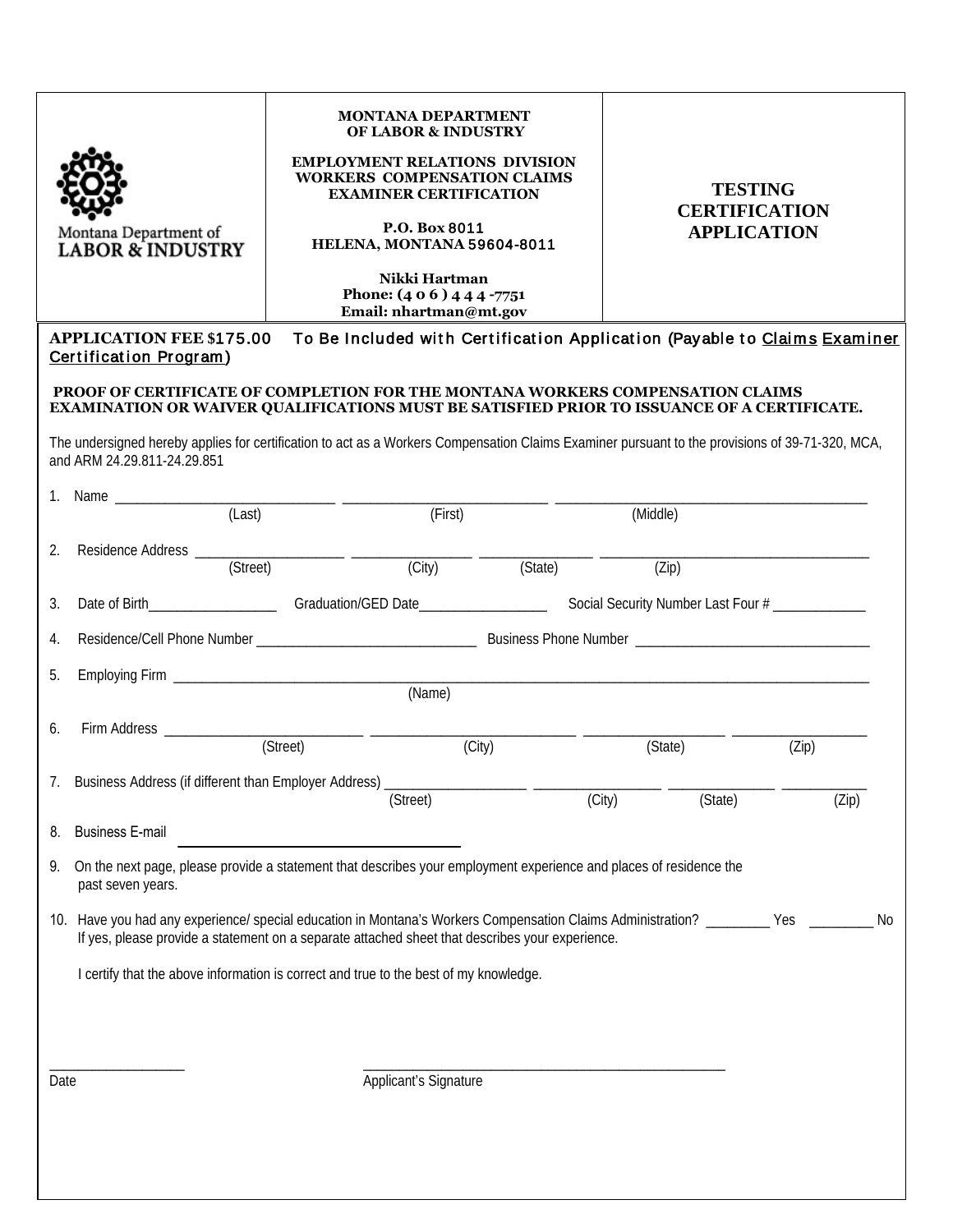| Montana Department of<br><b>LABOR &amp; INDUSTRY</b>                                                                                                                                                                        | <b>MONTANA DEPARTMENT</b><br><b>OF LABOR &amp; INDUSTRY</b><br><b>EMPLOYMENT RELATIONS DIVISION</b><br><b>WORKERS COMPENSATION CLAIMS</b><br><b>EXAMINER CERTIFICATION</b><br>P.O. Box 8011<br>HELENA, MONTANA 59604-8011<br>Nikki Hartman<br>Phone: $(406)444$ -7751<br>Email: nhartman@mt.gov |         |                   | <b>TESTING</b><br><b>CERTIFICATION</b><br><b>APPLICATION</b>              |  |
|-----------------------------------------------------------------------------------------------------------------------------------------------------------------------------------------------------------------------------|-------------------------------------------------------------------------------------------------------------------------------------------------------------------------------------------------------------------------------------------------------------------------------------------------|---------|-------------------|---------------------------------------------------------------------------|--|
|                                                                                                                                                                                                                             |                                                                                                                                                                                                                                                                                                 |         |                   |                                                                           |  |
| <b>APPLICATION FEE \$175.00</b><br>Certification Program)                                                                                                                                                                   |                                                                                                                                                                                                                                                                                                 |         |                   | To Be Included with Certification Application (Payable to Claims Examiner |  |
| PROOF OF CERTIFICATE OF COMPLETION FOR THE MONTANA WORKERS COMPENSATION CLAIMS                                                                                                                                              |                                                                                                                                                                                                                                                                                                 |         |                   |                                                                           |  |
| EXAMINATION OR WAIVER QUALIFICATIONS MUST BE SATISFIED PRIOR TO ISSUANCE OF A CERTIFICATE.                                                                                                                                  |                                                                                                                                                                                                                                                                                                 |         |                   |                                                                           |  |
| The undersigned hereby applies for certification to act as a Workers Compensation Claims Examiner pursuant to the provisions of 39-71-320, MCA,<br>and ARM 24.29.811-24.29.851                                              |                                                                                                                                                                                                                                                                                                 |         |                   |                                                                           |  |
| 1. Name _____________                                                                                                                                                                                                       |                                                                                                                                                                                                                                                                                                 |         |                   |                                                                           |  |
| (Last)                                                                                                                                                                                                                      | (First)                                                                                                                                                                                                                                                                                         |         | (Middle)          |                                                                           |  |
| 2.<br>(Street)                                                                                                                                                                                                              | $\overline{(City)}$                                                                                                                                                                                                                                                                             | (State) | (Zip)             |                                                                           |  |
| Date of Birth_______________________Graduation/GED Date_______________________Social Security Number Last Four #______________<br>3.                                                                                        |                                                                                                                                                                                                                                                                                                 |         |                   |                                                                           |  |
| 4.                                                                                                                                                                                                                          |                                                                                                                                                                                                                                                                                                 |         |                   |                                                                           |  |
| 5.                                                                                                                                                                                                                          |                                                                                                                                                                                                                                                                                                 |         |                   |                                                                           |  |
|                                                                                                                                                                                                                             |                                                                                                                                                                                                                                                                                                 |         |                   |                                                                           |  |
| 6.                                                                                                                                                                                                                          | (Street)                                                                                                                                                                                                                                                                                        | (City)  | (State)           | (Zip)                                                                     |  |
| 7. Business Address (if different than Employer Address)                                                                                                                                                                    |                                                                                                                                                                                                                                                                                                 |         |                   |                                                                           |  |
|                                                                                                                                                                                                                             | (Street)                                                                                                                                                                                                                                                                                        |         | (City)<br>(State) | (Zip)                                                                     |  |
| <b>Business E-mail</b><br>8.                                                                                                                                                                                                |                                                                                                                                                                                                                                                                                                 |         |                   |                                                                           |  |
| On the next page, please provide a statement that describes your employment experience and places of residence the<br>9.<br>past seven years.                                                                               |                                                                                                                                                                                                                                                                                                 |         |                   |                                                                           |  |
| 10. Have you had any experience/ special education in Montana's Workers Compensation Claims Administration? ________ Yes<br>If yes, please provide a statement on a separate attached sheet that describes your experience. |                                                                                                                                                                                                                                                                                                 |         |                   | No                                                                        |  |
| I certify that the above information is correct and true to the best of my knowledge.                                                                                                                                       |                                                                                                                                                                                                                                                                                                 |         |                   |                                                                           |  |
|                                                                                                                                                                                                                             |                                                                                                                                                                                                                                                                                                 |         |                   |                                                                           |  |
|                                                                                                                                                                                                                             |                                                                                                                                                                                                                                                                                                 |         |                   |                                                                           |  |
| Date                                                                                                                                                                                                                        | Applicant's Signature                                                                                                                                                                                                                                                                           |         |                   |                                                                           |  |
|                                                                                                                                                                                                                             |                                                                                                                                                                                                                                                                                                 |         |                   |                                                                           |  |
|                                                                                                                                                                                                                             |                                                                                                                                                                                                                                                                                                 |         |                   |                                                                           |  |
|                                                                                                                                                                                                                             |                                                                                                                                                                                                                                                                                                 |         |                   |                                                                           |  |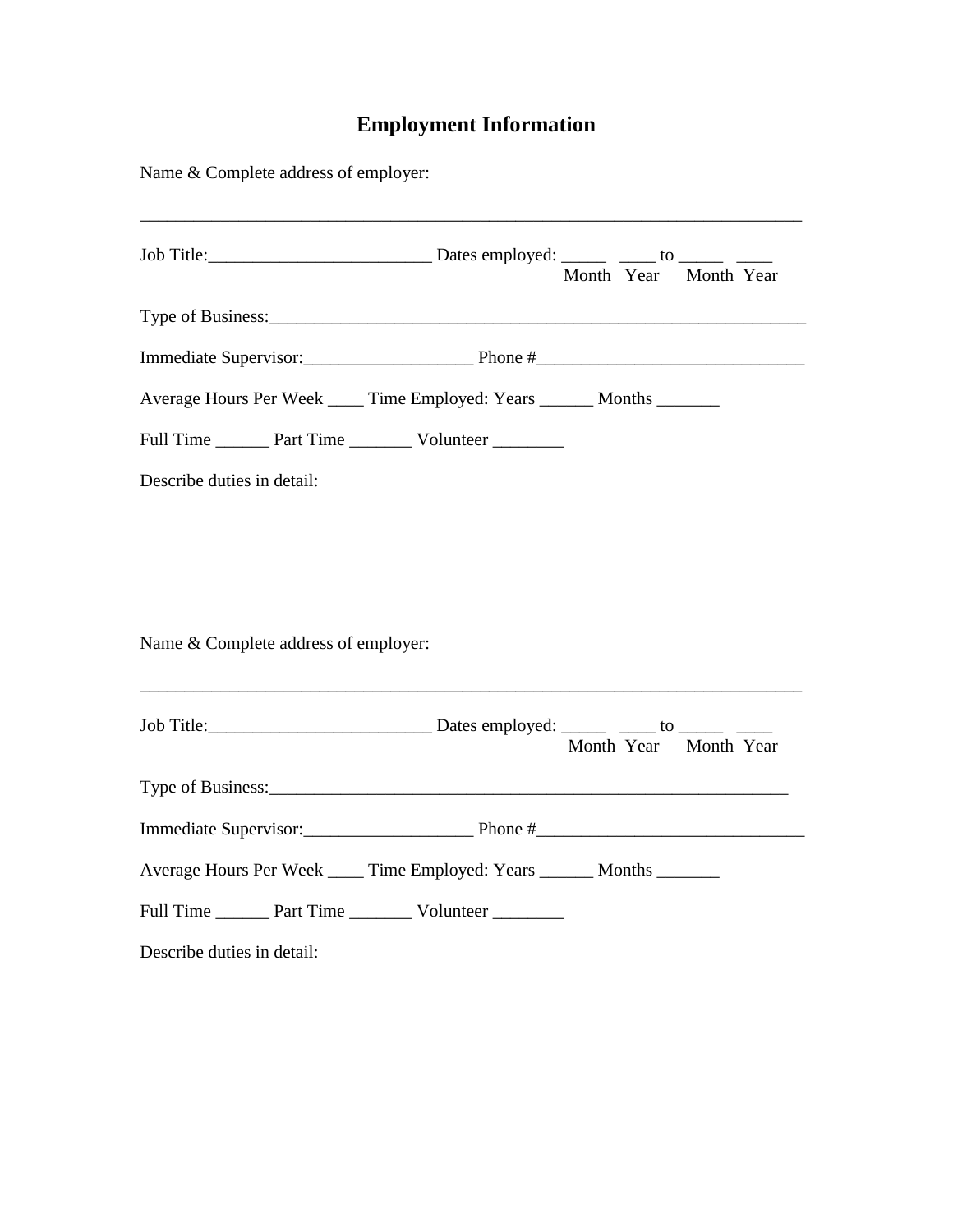## **Employment Information**

| Name & Complete address of employer:                                                                                                                           |                       |
|----------------------------------------------------------------------------------------------------------------------------------------------------------------|-----------------------|
|                                                                                                                                                                | Month Year Month Year |
|                                                                                                                                                                |                       |
|                                                                                                                                                                |                       |
| Average Hours Per Week _____ Time Employed: Years _______ Months _______                                                                                       |                       |
| Full Time _________ Part Time ____________ Volunteer __________                                                                                                |                       |
| Describe duties in detail:                                                                                                                                     |                       |
|                                                                                                                                                                |                       |
|                                                                                                                                                                |                       |
| Name & Complete address of employer:<br><u> 1980 - Johann Barn, mars ann an t-Amhainn an t-Amhainn an t-Amhainn an t-Amhainn an t-Amhainn an t-Amhainn an </u> |                       |
|                                                                                                                                                                |                       |
|                                                                                                                                                                | Month Year Month Year |
|                                                                                                                                                                |                       |
|                                                                                                                                                                |                       |
| Average Hours Per Week ____ Time Employed: Years _____ Months ______                                                                                           |                       |
| Full Time ________ Part Time ___________ Volunteer __________                                                                                                  |                       |
| Describe duties in detail:                                                                                                                                     |                       |